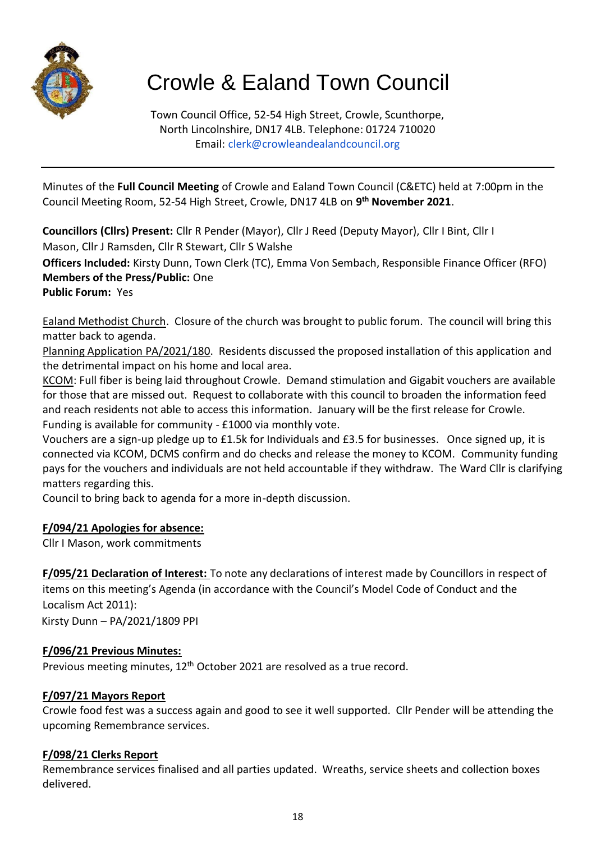

# Crowle & Ealand Town Council

Town Council Office, 52-54 High Street, Crowle, Scunthorpe, North Lincolnshire, DN17 4LB. Telephone: 01724 710020 Email: [clerk@crowleandealandcouncil.org](mailto:clerk@crowleandealandcouncil.org)

Minutes of the **Full Council Meeting** of Crowle and Ealand Town Council (C&ETC) held at 7:00pm in the Council Meeting Room, 52-54 High Street, Crowle, DN17 4LB on **9 th November 2021**.

**Councillors (Cllrs) Present:** Cllr R Pender (Mayor), Cllr J Reed (Deputy Mayor), Cllr I Bint, Cllr I Mason, Cllr J Ramsden, Cllr R Stewart, Cllr S Walshe

**Officers Included:** Kirsty Dunn, Town Clerk (TC), Emma Von Sembach, Responsible Finance Officer (RFO) **Members of the Press/Public:** One

#### **Public Forum:** Yes

Ealand Methodist Church. Closure of the church was brought to public forum. The council will bring this matter back to agenda.

Planning Application PA/2021/180. Residents discussed the proposed installation of this application and the detrimental impact on his home and local area.

KCOM: Full fiber is being laid throughout Crowle. Demand stimulation and Gigabit vouchers are available for those that are missed out. Request to collaborate with this council to broaden the information feed and reach residents not able to access this information. January will be the first release for Crowle. Funding is available for community - £1000 via monthly vote.

Vouchers are a sign-up pledge up to £1.5k for Individuals and £3.5 for businesses. Once signed up, it is connected via KCOM, DCMS confirm and do checks and release the money to KCOM. Community funding pays for the vouchers and individuals are not held accountable if they withdraw. The Ward Cllr is clarifying matters regarding this.

Council to bring back to agenda for a more in-depth discussion.

## **F/094/21 Apologies for absence:**

Cllr I Mason, work commitments

**F/095/21 Declaration of Interest:** To note any declarations of interest made by Councillors in respect of items on this meeting's Agenda (in accordance with the Council's Model Code of Conduct and the Localism Act 2011):

Kirsty Dunn – PA/2021/1809 PPI

## **F/096/21 Previous Minutes:**

Previous meeting minutes, 12<sup>th</sup> October 2021 are resolved as a true record.

## **F/097/21 Mayors Report**

Crowle food fest was a success again and good to see it well supported. Cllr Pender will be attending the upcoming Remembrance services.

#### **F/098/21 Clerks Report**

Remembrance services finalised and all parties updated. Wreaths, service sheets and collection boxes delivered.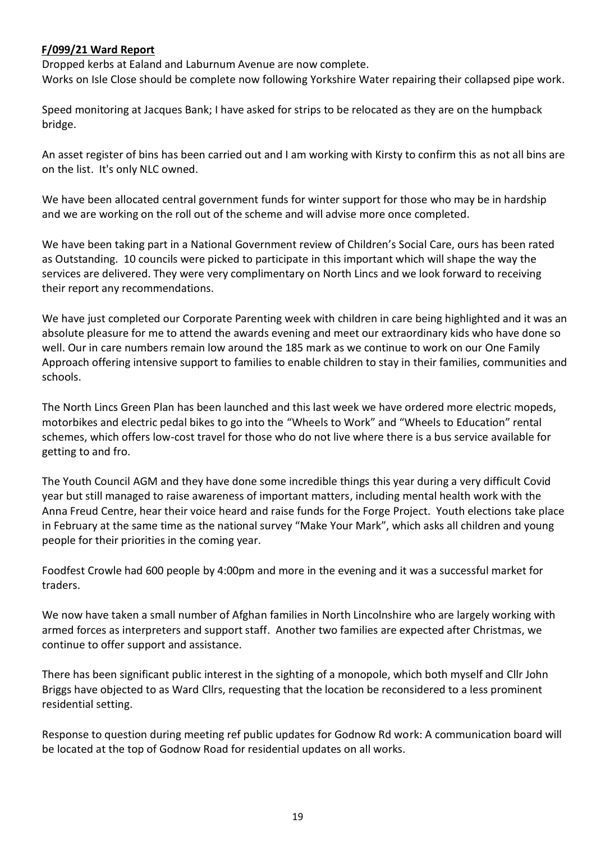#### **F/099/21 Ward Report**

Dropped kerbs at Ealand and Laburnum Avenue are now complete. Works on Isle Close should be complete now following Yorkshire Water repairing their collapsed pipe work.

Speed monitoring at Jacques Bank; I have asked for strips to be relocated as they are on the humpback bridge.

An asset register of bins has been carried out and I am working with Kirsty to confirm this as not all bins are on the list. It's only NLC owned.

We have been allocated central government funds for winter support for those who may be in hardship and we are working on the roll out of the scheme and will advise more once completed.

We have been taking part in a National Government review of Children's Social Care, ours has been rated as Outstanding. 10 councils were picked to participate in this important which will shape the way the services are delivered. They were very complimentary on North Lincs and we look forward to receiving their report any recommendations.

We have just completed our Corporate Parenting week with children in care being highlighted and it was an absolute pleasure for me to attend the awards evening and meet our extraordinary kids who have done so well. Our in care numbers remain low around the 185 mark as we continue to work on our One Family Approach offering intensive support to families to enable children to stay in their families, communities and schools.

The North Lincs Green Plan has been launched and this last week we have ordered more electric mopeds, motorbikes and electric pedal bikes to go into the "Wheels to Work" and "Wheels to Education" rental schemes, which offers low-cost travel for those who do not live where there is a bus service available for getting to and fro.

The Youth Council AGM and they have done some incredible things this year during a very difficult Covid year but still managed to raise awareness of important matters, including mental health work with the Anna Freud Centre, hear their voice heard and raise funds for the Forge Project. Youth elections take place in February at the same time as the national survey "Make Your Mark", which asks all children and young people for their priorities in the coming year.

Foodfest Crowle had 600 people by 4:00pm and more in the evening and it was a successful market for traders.

We now have taken a small number of Afghan families in North Lincolnshire who are largely working with armed forces as interpreters and support staff. Another two families are expected after Christmas, we continue to offer support and assistance.

There has been significant public interest in the sighting of a monopole, which both myself and Cllr John Briggs have objected to as Ward Cllrs, requesting that the location be reconsidered to a less prominent residential setting.

Response to question during meeting ref public updates for Godnow Rd work: A communication board will be located at the top of Godnow Road for residential updates on all works.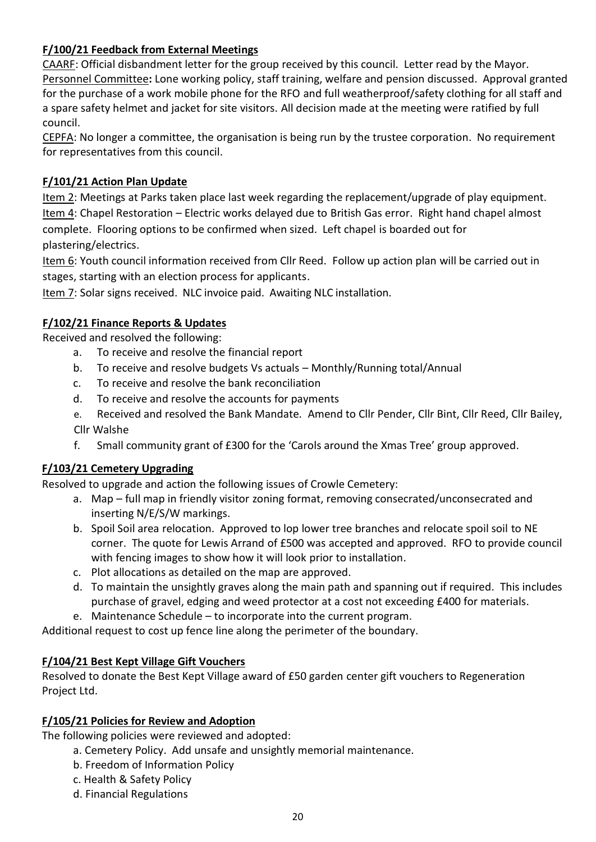## **F/100/21 Feedback from External Meetings**

CAARF: Official disbandment letter for the group received by this council. Letter read by the Mayor. Personnel Committee**:** Lone working policy, staff training, welfare and pension discussed. Approval granted for the purchase of a work mobile phone for the RFO and full weatherproof/safety clothing for all staff and a spare safety helmet and jacket for site visitors. All decision made at the meeting were ratified by full council.

CEPFA: No longer a committee, the organisation is being run by the trustee corporation. No requirement for representatives from this council.

## **F/101/21 Action Plan Update**

Item 2: Meetings at Parks taken place last week regarding the replacement/upgrade of play equipment. Item 4: Chapel Restoration – Electric works delayed due to British Gas error. Right hand chapel almost complete. Flooring options to be confirmed when sized. Left chapel is boarded out for plastering/electrics.

Item 6: Youth council information received from Cllr Reed. Follow up action plan will be carried out in stages, starting with an election process for applicants.

Item 7: Solar signs received. NLC invoice paid. Awaiting NLC installation.

#### **F/102/21 Finance Reports & Updates**

Received and resolved the following:

- a. To receive and resolve the financial report
- b. To receive and resolve budgets Vs actuals Monthly/Running total/Annual
- c. To receive and resolve the bank reconciliation
- d. To receive and resolve the accounts for payments
- e. Received and resolved the Bank Mandate. Amend to Cllr Pender, Cllr Bint, Cllr Reed, Cllr Bailey, Cllr Walshe
- f. Small community grant of £300 for the 'Carols around the Xmas Tree' group approved.

## **F/103/21 Cemetery Upgrading**

Resolved to upgrade and action the following issues of Crowle Cemetery:

- a. Map full map in friendly visitor zoning format, removing consecrated/unconsecrated and inserting N/E/S/W markings.
- b. Spoil Soil area relocation. Approved to lop lower tree branches and relocate spoil soil to NE corner. The quote for Lewis Arrand of £500 was accepted and approved. RFO to provide council with fencing images to show how it will look prior to installation.
- c. Plot allocations as detailed on the map are approved.
- d. To maintain the unsightly graves along the main path and spanning out if required. This includes purchase of gravel, edging and weed protector at a cost not exceeding £400 for materials.
- e. Maintenance Schedule to incorporate into the current program.

Additional request to cost up fence line along the perimeter of the boundary.

## **F/104/21 Best Kept Village Gift Vouchers**

Resolved to donate the Best Kept Village award of £50 garden center gift vouchers to Regeneration Project Ltd.

## **F/105/21 Policies for Review and Adoption**

The following policies were reviewed and adopted:

a. Cemetery Policy. Add unsafe and unsightly memorial maintenance.

- b. Freedom of Information Policy
- c. Health & Safety Policy
- d. Financial Regulations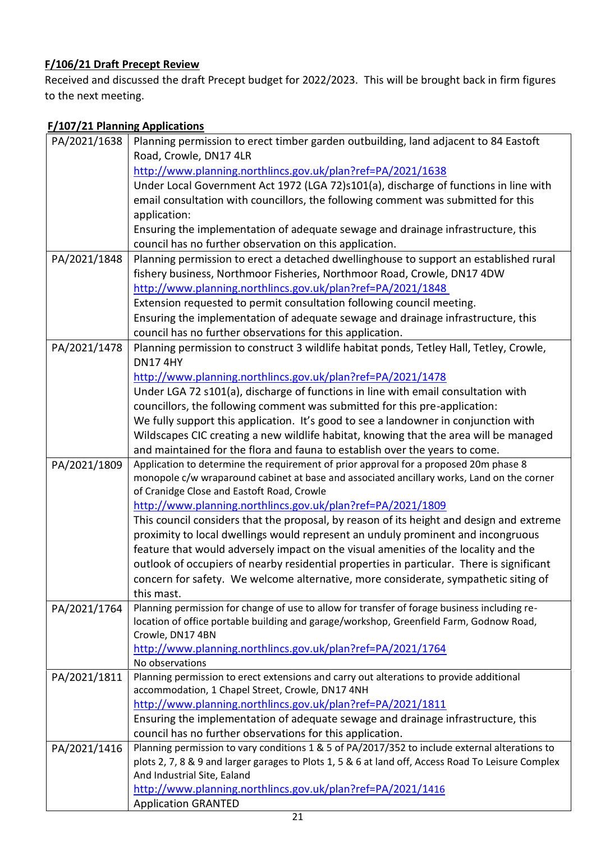# **F/106/21 Draft Precept Review**

Received and discussed the draft Precept budget for 2022/2023. This will be brought back in firm figures to the next meeting.

# **F/107/21 Planning Applications**

| PA/2021/1638 | Planning permission to erect timber garden outbuilding, land adjacent to 84 Eastoft                                                      |
|--------------|------------------------------------------------------------------------------------------------------------------------------------------|
|              | Road, Crowle, DN17 4LR                                                                                                                   |
|              | http://www.planning.northlincs.gov.uk/plan?ref=PA/2021/1638                                                                              |
|              | Under Local Government Act 1972 (LGA 72)s101(a), discharge of functions in line with                                                     |
|              | email consultation with councillors, the following comment was submitted for this                                                        |
|              | application:                                                                                                                             |
|              | Ensuring the implementation of adequate sewage and drainage infrastructure, this                                                         |
|              | council has no further observation on this application.                                                                                  |
| PA/2021/1848 | Planning permission to erect a detached dwellinghouse to support an established rural                                                    |
|              | fishery business, Northmoor Fisheries, Northmoor Road, Crowle, DN17 4DW                                                                  |
|              | http://www.planning.northlincs.gov.uk/plan?ref=PA/2021/1848                                                                              |
|              | Extension requested to permit consultation following council meeting.                                                                    |
|              | Ensuring the implementation of adequate sewage and drainage infrastructure, this                                                         |
|              | council has no further observations for this application.                                                                                |
| PA/2021/1478 | Planning permission to construct 3 wildlife habitat ponds, Tetley Hall, Tetley, Crowle,                                                  |
|              | <b>DN174HY</b>                                                                                                                           |
|              | http://www.planning.northlincs.gov.uk/plan?ref=PA/2021/1478                                                                              |
|              | Under LGA 72 s101(a), discharge of functions in line with email consultation with                                                        |
|              | councillors, the following comment was submitted for this pre-application:                                                               |
|              | We fully support this application. It's good to see a landowner in conjunction with                                                      |
|              | Wildscapes CIC creating a new wildlife habitat, knowing that the area will be managed                                                    |
|              | and maintained for the flora and fauna to establish over the years to come.                                                              |
| PA/2021/1809 | Application to determine the requirement of prior approval for a proposed 20m phase 8                                                    |
|              | monopole c/w wraparound cabinet at base and associated ancillary works, Land on the corner<br>of Cranidge Close and Eastoft Road, Crowle |
|              | http://www.planning.northlincs.gov.uk/plan?ref=PA/2021/1809                                                                              |
|              | This council considers that the proposal, by reason of its height and design and extreme                                                 |
|              | proximity to local dwellings would represent an unduly prominent and incongruous                                                         |
|              | feature that would adversely impact on the visual amenities of the locality and the                                                      |
|              | outlook of occupiers of nearby residential properties in particular. There is significant                                                |
|              | concern for safety. We welcome alternative, more considerate, sympathetic siting of                                                      |
|              | this mast.                                                                                                                               |
| PA/2021/1764 | Planning permission for change of use to allow for transfer of forage business including re-                                             |
|              | location of office portable building and garage/workshop, Greenfield Farm, Godnow Road,                                                  |
|              | Crowle, DN17 4BN                                                                                                                         |
|              | http://www.planning.northlincs.gov.uk/plan?ref=PA/2021/1764                                                                              |
|              | No observations                                                                                                                          |
| PA/2021/1811 | Planning permission to erect extensions and carry out alterations to provide additional                                                  |
|              | accommodation, 1 Chapel Street, Crowle, DN17 4NH                                                                                         |
|              | http://www.planning.northlincs.gov.uk/plan?ref=PA/2021/1811                                                                              |
|              | Ensuring the implementation of adequate sewage and drainage infrastructure, this                                                         |
|              | council has no further observations for this application.                                                                                |
| PA/2021/1416 | Planning permission to vary conditions 1 & 5 of PA/2017/352 to include external alterations to                                           |
|              | plots 2, 7, 8 & 9 and larger garages to Plots 1, 5 & 6 at land off, Access Road To Leisure Complex                                       |
|              | And Industrial Site, Ealand<br>http://www.planning.northlincs.gov.uk/plan?ref=PA/2021/1416                                               |
|              | <b>Application GRANTED</b>                                                                                                               |
|              |                                                                                                                                          |